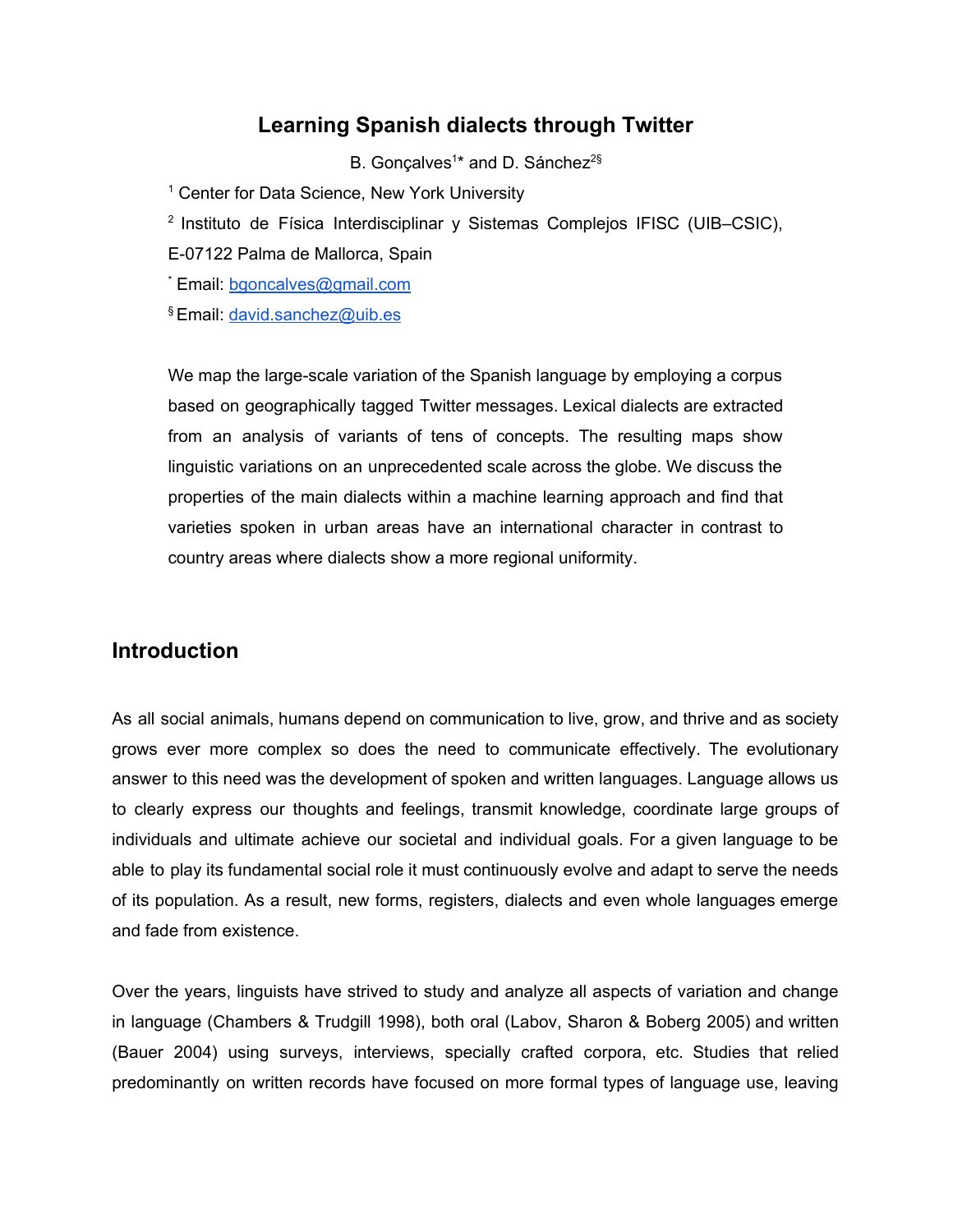### **Learning Spanish dialects through Twitter**

B. Gonçalves<sup>1\*</sup> and D. Sánchez<sup>2§</sup>

<sup>1</sup> Center for Data Science, New York University

<sup>2</sup> Instituto de Física Interdisciplinar y Sistemas Complejos IFISC (UIB–CSIC),

E-07122 Palma de Mallorca, Spain

\* Email: [bgoncalves@gmail.com](mailto:bgoncalves@gmail.com)

§ Email: [david.sanchez@uib.es](mailto:david.sanchez@uib.es)

We map the large-scale variation of the Spanish language by employing a corpus based on geographically tagged Twitter messages. Lexical dialects are extracted from an analysis of variants of tens of concepts. The resulting maps show linguistic variations on an unprecedented scale across the globe. We discuss the properties of the main dialects within a machine learning approach and find that varieties spoken in urban areas have an international character in contrast to country areas where dialects show a more regional uniformity.

#### **Introduction**

As all social animals, humans depend on communication to live, grow, and thrive and as society grows ever more complex so does the need to communicate effectively. The evolutionary answer to this need was the development of spoken and written languages. Language allows us to clearly express our thoughts and feelings, transmit knowledge, coordinate large groups of individuals and ultimate achieve our societal and individual goals. For a given language to be able to play its fundamental social role it must continuously evolve and adapt to serve the needs of its population. As a result, new forms, registers, dialects and even whole languages emerge and fade from existence.

Over the years, linguists have strived to study and analyze all aspects of variation and change in language (Chambers & Trudgill 1998), both oral (Labov, Sharon & Boberg 2005) and written (Bauer 2004) using surveys, interviews, specially crafted corpora, etc. Studies that relied predominantly on written records have focused on more formal types of language use, leaving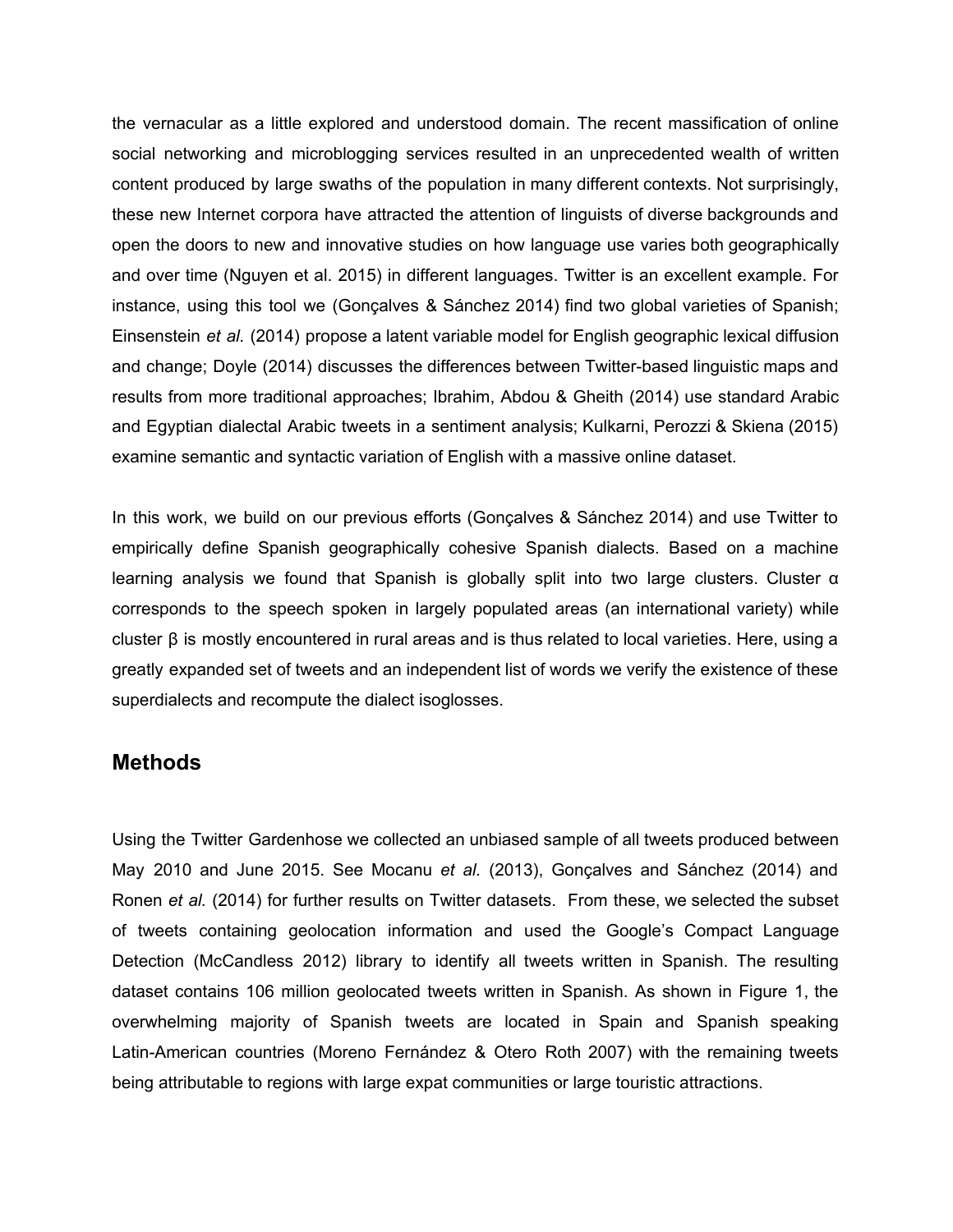the vernacular as a little explored and understood domain. The recent massification of online social networking and microblogging services resulted in an unprecedented wealth of written content produced by large swaths of the population in many different contexts. Not surprisingly, these new Internet corpora have attracted the attention of linguists of diverse backgrounds and open the doors to new and innovative studies on how language use varies both geographically and over time (Nguyen et al. 2015) in different languages. Twitter is an excellent example. For instance, using this tool we (Gonçalves & Sánchez 2014) find two global varieties of Spanish; Einsenstein *et al.* (2014) propose a latent variable model for English geographic lexical diffusion and change; Doyle (2014) discusses the differences between Twitter-based linguistic maps and results from more traditional approaches; Ibrahim, Abdou & Gheith (2014) use standard Arabic and Egyptian dialectal Arabic tweets in a sentiment analysis; Kulkarni, Perozzi & Skiena (2015) examine semantic and syntactic variation of English with a massive online dataset.

In this work, we build on our previous efforts (Gonçalves & Sánchez 2014) and use Twitter to empirically define Spanish geographically cohesive Spanish dialects. Based on a machine learning analysis we found that Spanish is globally split into two large clusters. Cluster  $\alpha$ corresponds to the speech spoken in largely populated areas (an international variety) while cluster β is mostly encountered in rural areas and is thus related to local varieties. Here, using a greatly expanded set of tweets and an independent list of words we verify the existence of these superdialects and recompute the dialect isoglosses.

#### **Methods**

Using the Twitter Gardenhose we collected an unbiased sample of all tweets produced between May 2010 and June 2015. See Mocanu *et al.* (2013), Gonçalves and Sánchez (2014) and Ronen *et al.* (2014) for further results on Twitter datasets. From these, we selected the subset of tweets containing geolocation information and used the Google's Compact Language Detection (McCandless 2012) library to identify all tweets written in Spanish. The resulting dataset contains 106 million geolocated tweets written in Spanish. As shown in Figure 1, the overwhelming majority of Spanish tweets are located in Spain and Spanish speaking Latin-American countries (Moreno Fernández & Otero Roth 2007) with the remaining tweets being attributable to regions with large expat communities or large touristic attractions.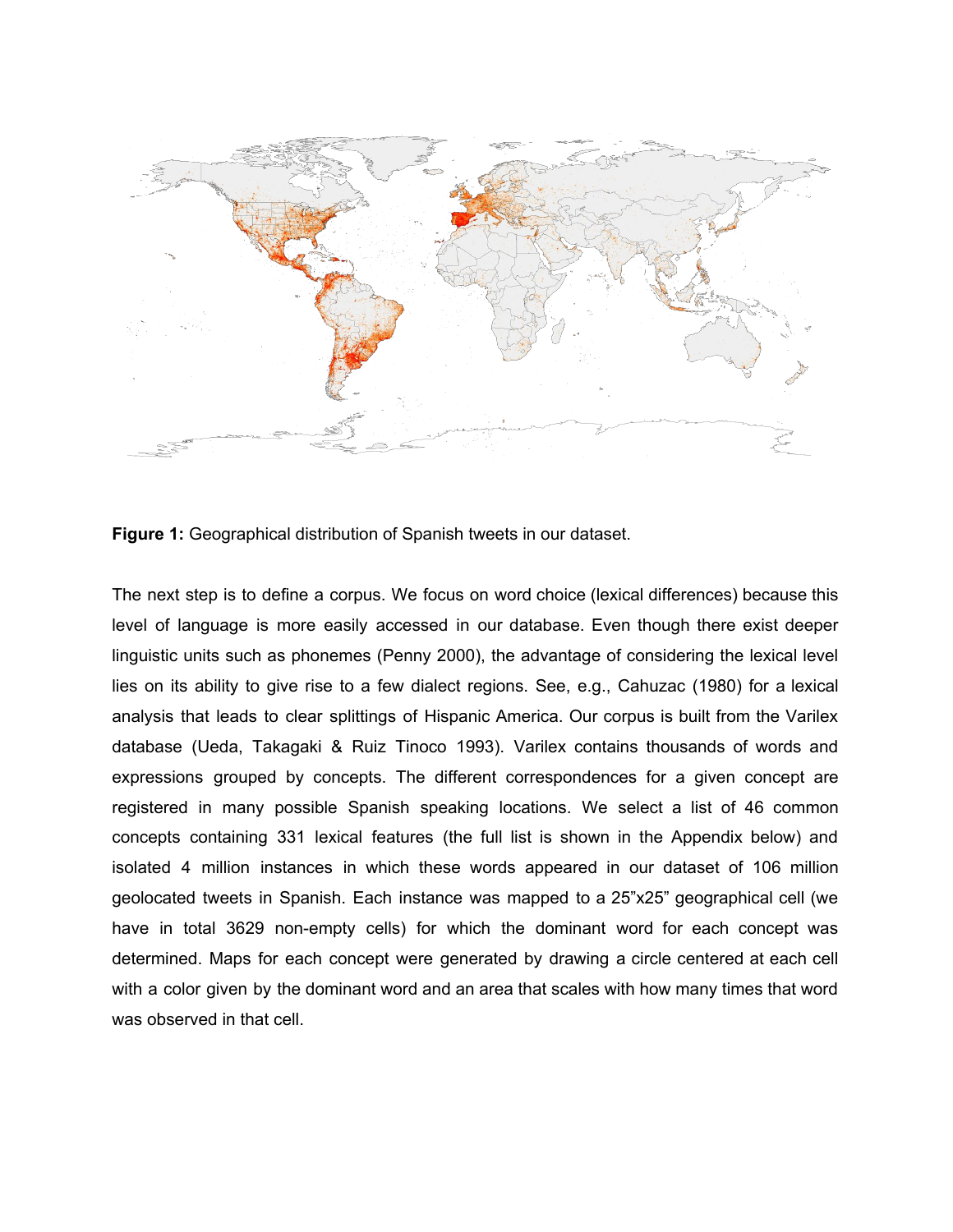

**Figure 1:**Geographical distribution of Spanish tweets in our dataset.

The next step is to define a corpus. We focus on word choice (lexical differences) because this level of language is more easily accessed in our database. Even though there exist deeper linguistic units such as phonemes (Penny 2000), the advantage of considering the lexical level lies on its ability to give rise to a few dialect regions. See, e.g., Cahuzac (1980) for a lexical analysis that leads to clear splittings of Hispanic America. Our corpus is built from the Varilex database (Ueda, Takagaki & Ruiz Tinoco 1993). Varilex contains thousands of words and expressions grouped by concepts. The different correspondences for a given concept are registered in many possible Spanish speaking locations. We select a list of 46 common concepts containing 331 lexical features (the full list is shown in the Appendix below) and isolated 4 million instances in which these words appeared in our dataset of 106 million geolocated tweets in Spanish. Each instance was mapped to a 25"x25" geographical cell (we have in total 3629 non-empty cells) for which the dominant word for each concept was determined. Maps for each concept were generated by drawing a circle centered at each cell with a color given by the dominant word and an area that scales with how many times that word was observed in that cell.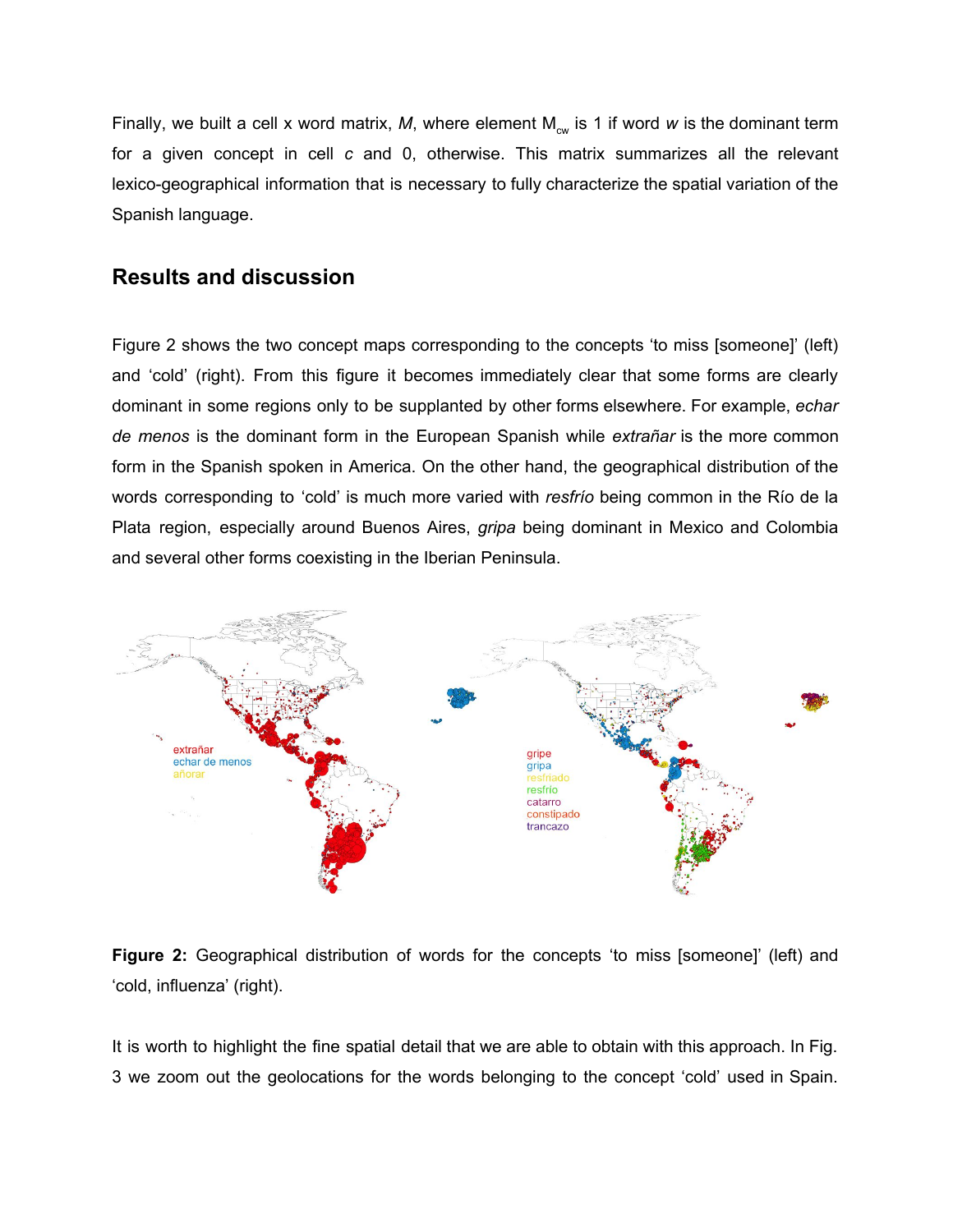Finally, we built a cell x word matrix, M, where element M<sub>cw</sub> is 1 if word w is the dominant term for a given concept in cell *c* and 0, otherwise. This matrix summarizes all the relevant lexico-geographical information that is necessary to fully characterize the spatial variation of the Spanish language.

### **Results and discussion**

Figure 2 shows the two concept maps corresponding to the concepts 'to miss [someone]' (left) and 'cold' (right). From this figure it becomes immediately clear that some forms are clearly dominant in some regions only to be supplanted by other forms elsewhere. For example, *echar de menos* is the dominant form in the European Spanish while *extrañar* is the more common form in the Spanish spoken in America. On the other hand, the geographical distribution of the words corresponding to 'cold' is much more varied with *resfrío* being common in the Río de la Plata region, especially around Buenos Aires, *gripa* being dominant in Mexico and Colombia and several other forms coexisting in the Iberian Peninsula.



**Figure 2:** Geographical distribution of words for the concepts 'to miss [someone]' (left) and 'cold, influenza' (right).

It is worth to highlight the fine spatial detail that we are able to obtain with this approach. In Fig. 3 we zoom out the geolocations for the words belonging to the concept 'cold' used in Spain.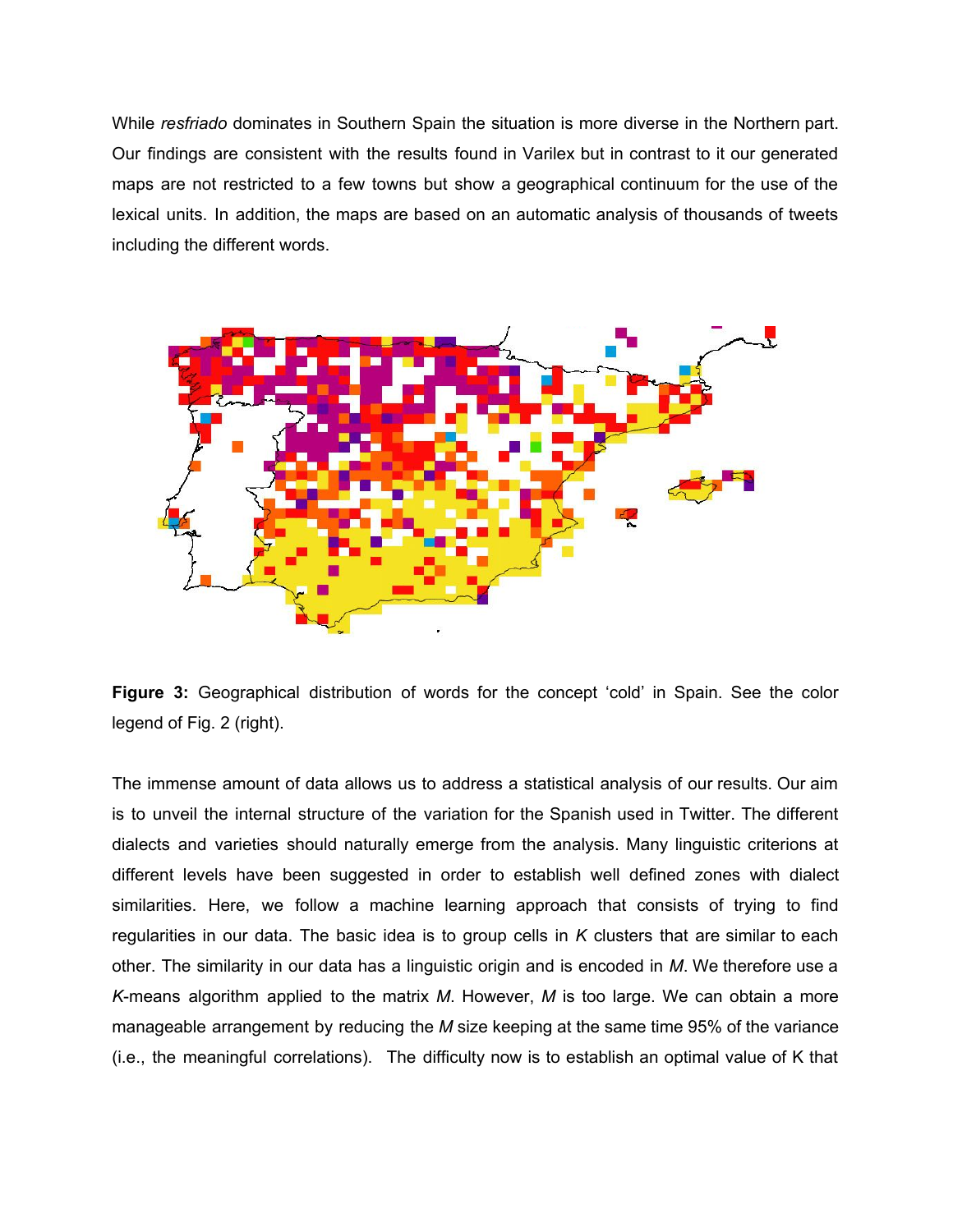While *resfriado* dominates in Southern Spain the situation is more diverse in the Northern part. Our findings are consistent with the results found in Varilex but in contrast to it our generated maps are not restricted to a few towns but show a geographical continuum for the use of the lexical units. In addition, the maps are based on an automatic analysis of thousands of tweets including the different words.



**Figure 3:** Geographical distribution of words for the concept 'cold' in Spain. See the color legend of Fig. 2 (right).

The immense amount of data allows us to address a statistical analysis of our results. Our aim is to unveil the internal structure of the variation for the Spanish used in Twitter. The different dialects and varieties should naturally emerge from the analysis. Many linguistic criterions at different levels have been suggested in order to establish well defined zones with dialect similarities. Here, we follow a machine learning approach that consists of trying to find regularities in our data. The basic idea is to group cells in *K* clusters that are similar to each other. The similarity in our data has a linguistic origin and is encoded in *M*. We therefore use a *K*means algorithm applied to the matrix *M*. However, *M* is too large. We can obtain a more manageable arrangement by reducing the *M* size keeping at the same time 95% of the variance (i.e., the meaningful correlations). The difficulty now is to establish an optimal value of K that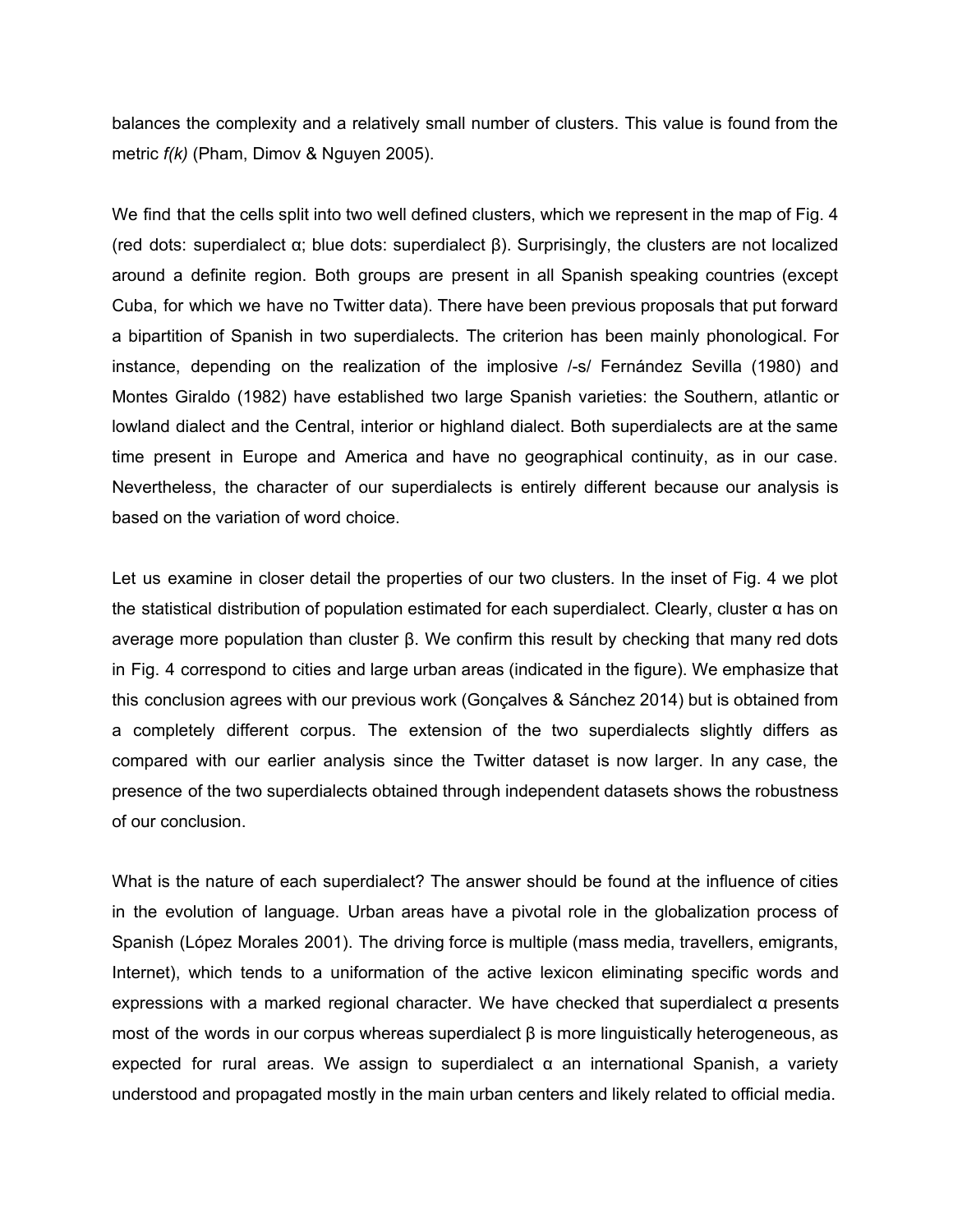balances the complexity and a relatively small number of clusters. This value is found from the metric *f(k)* (Pham, Dimov & Nguyen 2005).

We find that the cells split into two well defined clusters, which we represent in the map of Fig. 4 (red dots: superdialect α; blue dots: superdialect β). Surprisingly, the clusters are not localized around a definite region. Both groups are present in all Spanish speaking countries (except Cuba, for which we have no Twitter data). There have been previous proposals that put forward a bipartition of Spanish in two superdialects. The criterion has been mainly phonological. For instance, depending on the realization of the implosive /-s/ Fernández Sevilla (1980) and Montes Giraldo (1982) have established two large Spanish varieties: the Southern, atlantic or lowland dialect and the Central, interior or highland dialect. Both superdialects are at the same time present in Europe and America and have no geographical continuity, as in our case. Nevertheless, the character of our superdialects is entirely different because our analysis is based on the variation of word choice.

Let us examine in closer detail the properties of our two clusters. In the inset of Fig. 4 we plot the statistical distribution of population estimated for each superdialect. Clearly, cluster α has on average more population than cluster β. We confirm this result by checking that many red dots in Fig. 4 correspond to cities and large urban areas (indicated in the figure). We emphasize that this conclusion agrees with our previous work (Gonçalves & Sánchez 2014) but is obtained from a completely different corpus. The extension of the two superdialects slightly differs as compared with our earlier analysis since the Twitter dataset is now larger. In any case, the presence of the two superdialects obtained through independent datasets shows the robustness of our conclusion.

What is the nature of each superdialect? The answer should be found at the influence of cities in the evolution of language. Urban areas have a pivotal role in the globalization process of Spanish (López Morales 2001). The driving force is multiple (mass media, travellers, emigrants, Internet), which tends to a uniformation of the active lexicon eliminating specific words and expressions with a marked regional character. We have checked that superdialect  $\alpha$  presents most of the words in our corpus whereas superdialect  $β$  is more linguistically heterogeneous, as expected for rural areas. We assign to superdialect  $\alpha$  an international Spanish, a variety understood and propagated mostly in the main urban centers and likely related to official media.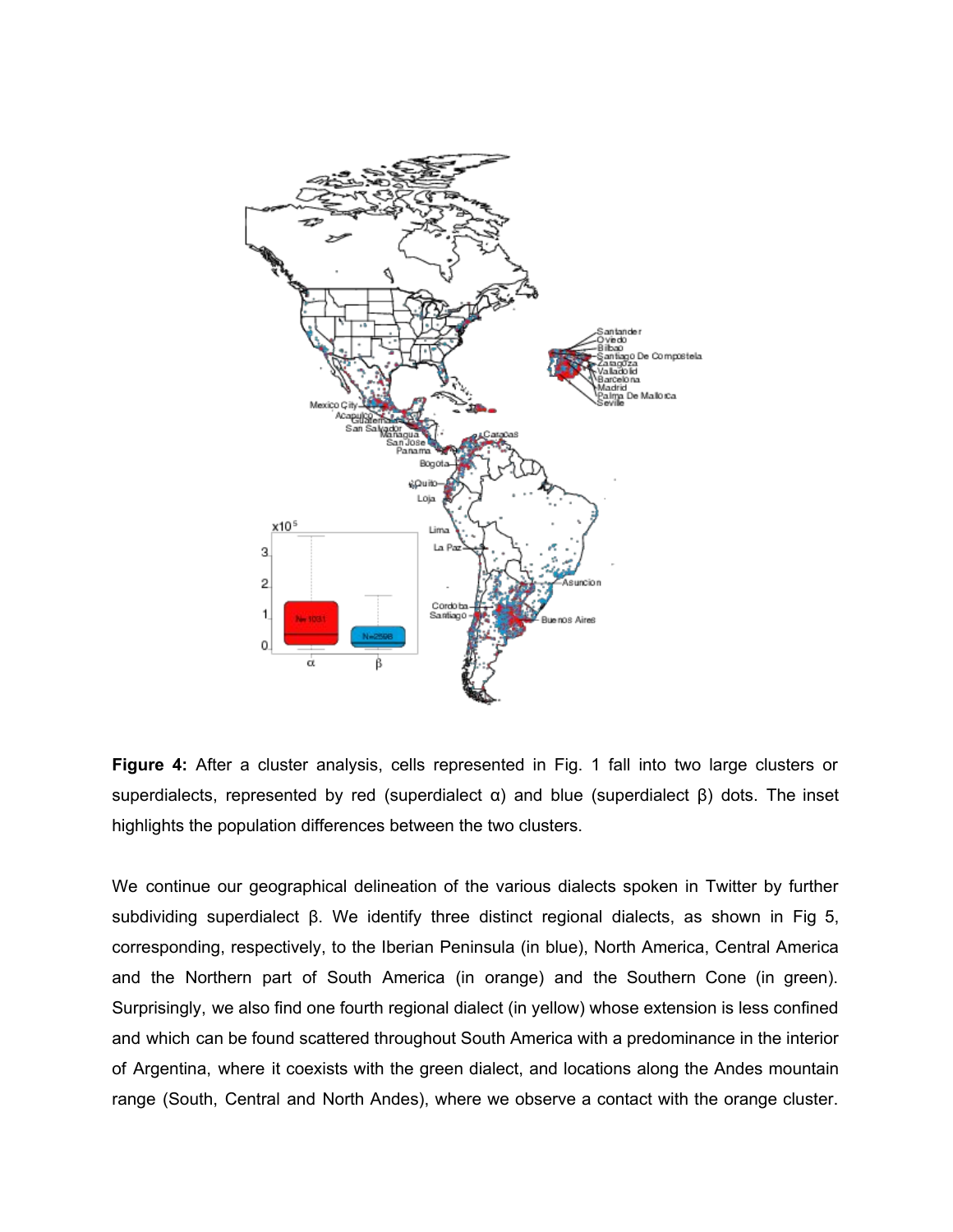

**Figure 4:** After a cluster analysis, cells represented in Fig. 1 fall into two large clusters or superdialects, represented by red (superdialect  $\alpha$ ) and blue (superdialect  $\beta$ ) dots. The inset highlights the population differences between the two clusters.

We continue our geographical delineation of the various dialects spoken in Twitter by further subdividing superdialect β. We identify three distinct regional dialects, as shown in Fig 5, corresponding, respectively, to the Iberian Peninsula (in blue), North America, Central America and the Northern part of South America (in orange) and the Southern Cone (in green). Surprisingly, we also find one fourth regional dialect (in yellow) whose extension is less confined and which can be found scattered throughout South America with a predominance in the interior of Argentina, where it coexists with the green dialect, and locations along the Andes mountain range (South, Central and North Andes), where we observe a contact with the orange cluster.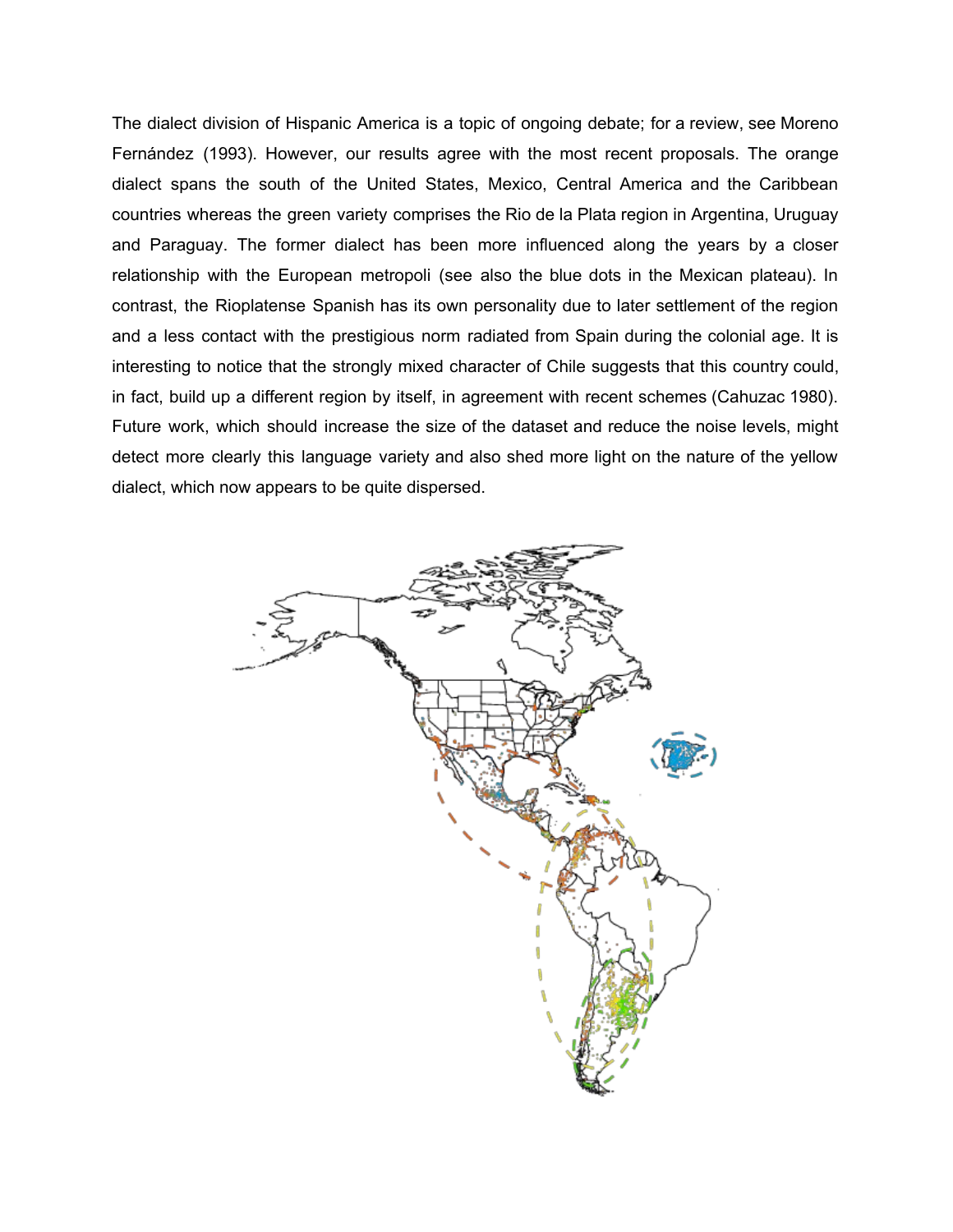The dialect division of Hispanic America is a topic of ongoing debate; for a review, see Moreno Fernández (1993). However, our results agree with the most recent proposals. The orange dialect spans the south of the United States, Mexico, Central America and the Caribbean countries whereas the green variety comprises the Rio de la Plata region in Argentina, Uruguay and Paraguay. The former dialect has been more influenced along the years by a closer relationship with the European metropoli (see also the blue dots in the Mexican plateau). In contrast, the Rioplatense Spanish has its own personality due to later settlement of the region and a less contact with the prestigious norm radiated from Spain during the colonial age. It is interesting to notice that the strongly mixed character of Chile suggests that this country could, in fact, build up a different region by itself, in agreement with recent schemes (Cahuzac 1980). Future work, which should increase the size of the dataset and reduce the noise levels, might detect more clearly this language variety and also shed more light on the nature of the yellow dialect, which now appears to be quite dispersed.

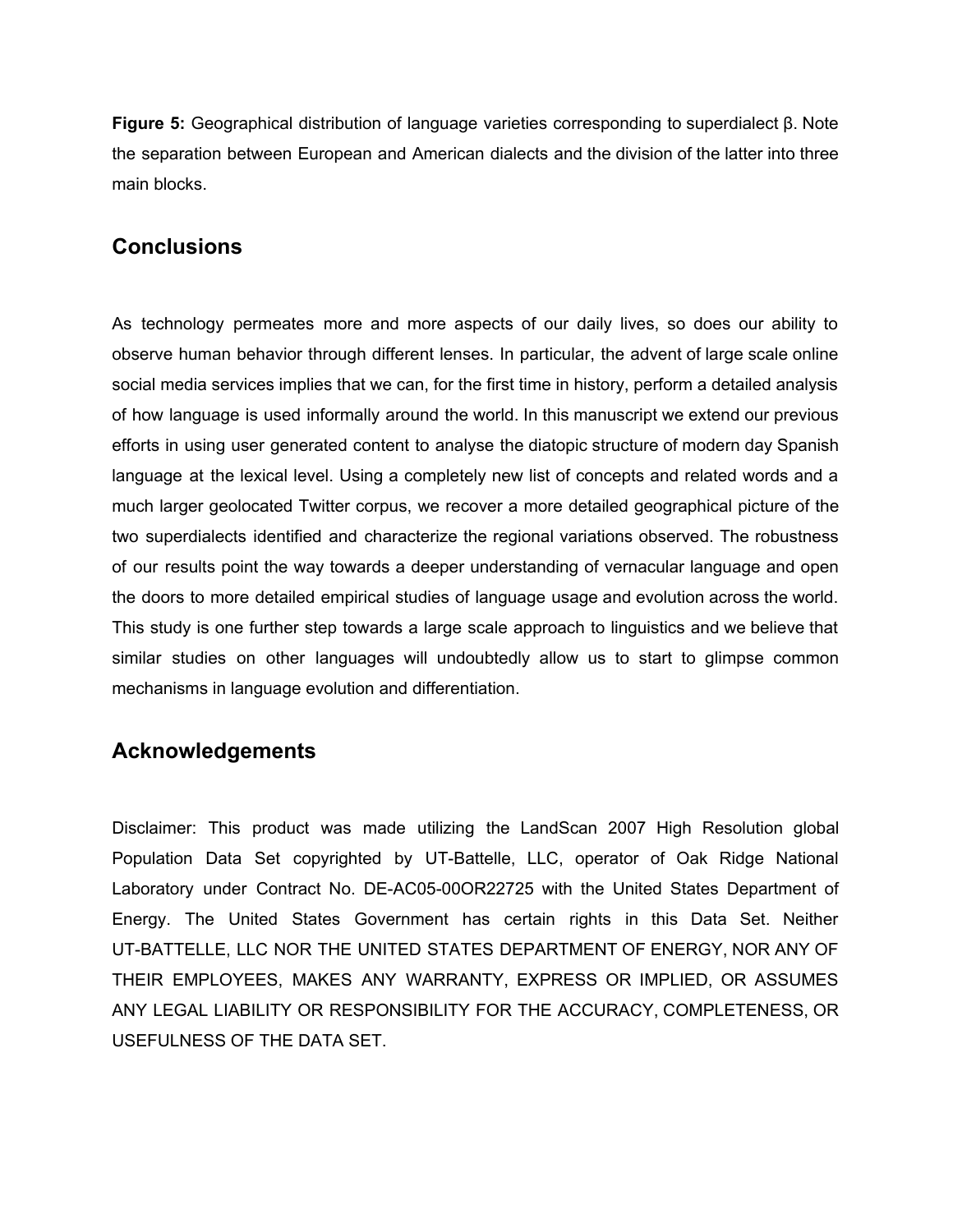**Figure 5:** Geographical distribution of language varieties corresponding to superdialect β. Note the separation between European and American dialects and the division of the latter into three main blocks.

### **Conclusions**

As technology permeates more and more aspects of our daily lives, so does our ability to observe human behavior through different lenses. In particular, the advent of large scale online social media services implies that we can, for the first time in history, perform a detailed analysis of how language is used informally around the world. In this manuscript we extend our previous efforts in using user generated content to analyse the diatopic structure of modern day Spanish language at the lexical level. Using a completely new list of concepts and related words and a much larger geolocated Twitter corpus, we recover a more detailed geographical picture of the two superdialects identified and characterize the regional variations observed. The robustness of our results point the way towards a deeper understanding of vernacular language and open the doors to more detailed empirical studies of language usage and evolution across the world. This study is one further step towards a large scale approach to linguistics and we believe that similar studies on other languages will undoubtedly allow us to start to glimpse common mechanisms in language evolution and differentiation.

# **Acknowledgements**

Disclaimer: This product was made utilizing the LandScan 2007 High Resolution global Population Data Set copyrighted by UT-Battelle, LLC, operator of Oak Ridge National Laboratory under Contract No. DE-AC05-00OR22725 with the United States Department of Energy. The United States Government has certain rights in this Data Set. Neither UT-BATTELLE, LLC NOR THE UNITED STATES DEPARTMENT OF ENERGY, NOR ANY OF THEIR EMPLOYEES, MAKES ANY WARRANTY, EXPRESS OR IMPLIED, OR ASSUMES ANY LEGAL LIABILITY OR RESPONSIBILITY FOR THE ACCURACY, COMPLETENESS, OR USEFULNESS OF THE DATA SET.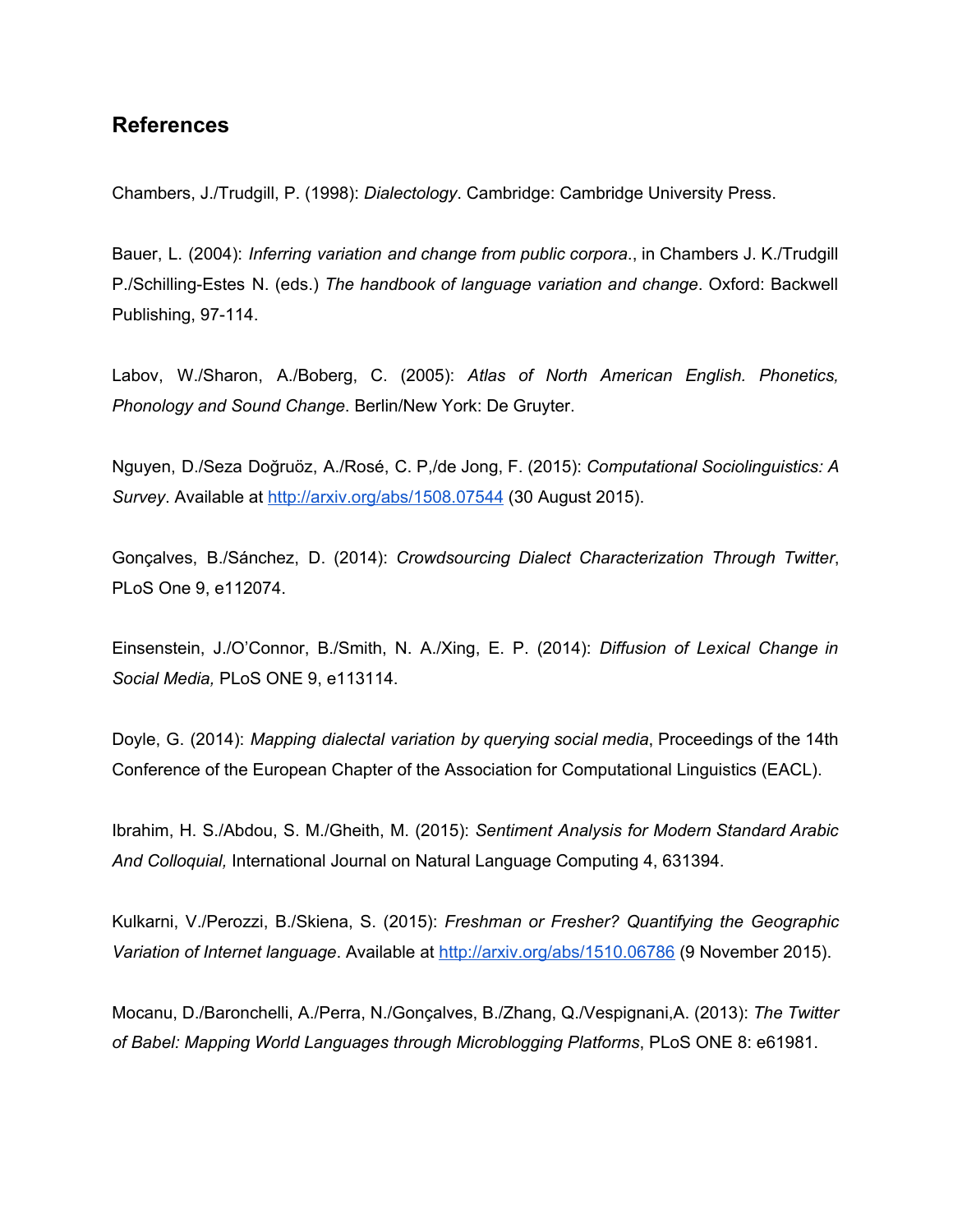#### **References**

Chambers, J./Trudgill, P. (1998): *Dialectology*. Cambridge: Cambridge University Press.

Bauer, L. (2004): *Inferring variation and change from public corpora*., in Chambers J. K./Trudgill P./SchillingEstes N. (eds.) *The handbook of language variation and change*. Oxford: Backwell Publishing, 97-114.

Labov, W./Sharon, A./Boberg, C. (2005): *Atlas of North American English. Phonetics, Phonology and Sound Change*. Berlin/New York: De Gruyter.

Nguyen, D./Seza [Doğruöz,](http://arxiv.org/find/cs/1/au:+Dogruoz_A/0/1/0/all/0/1) A./Rosé, C. P,/de Jong, F. (2015): *Computational Sociolinguistics: A Survey*. Available at <http://arxiv.org/abs/1508.07544> (30 August 2015).

Gonçalves, B./Sánchez, D. (2014): *Crowdsourcing Dialect Characterization Through Twitter*, PLoS One 9, e112074.

Einsenstein, J./O'Connor, B./Smith, N. A./Xing, E. P. (2014): *Diffusion of Lexical Change in Social Media,* PLoS ONE 9, e113114.

Doyle, G. (2014): *Mapping dialectal variation by querying social media*, Proceedings of the 14th Conference of the European Chapter of the Association for Computational Linguistics (EACL).

Ibrahim, H. S./Abdou, S. M./Gheith, M. (2015): *Sentiment Analysis for Modern Standard Arabic And Colloquial,* International Journal on Natural Language Computing 4, 631394.

Kulkarni, V./Perozzi, B./Skiena, S. (2015): *Freshman or Fresher? Quantifying the Geographic Variation of Internet language*. Available at <http://arxiv.org/abs/1510.06786> (9 November 2015).

Mocanu, D./Baronchelli, A./Perra, N./Gonçalves, B./Zhang, Q./Vespignani,A. (2013): *The Twitter of Babel: Mapping World Languages through Microblogging Platforms*, PLoS ONE 8: e61981.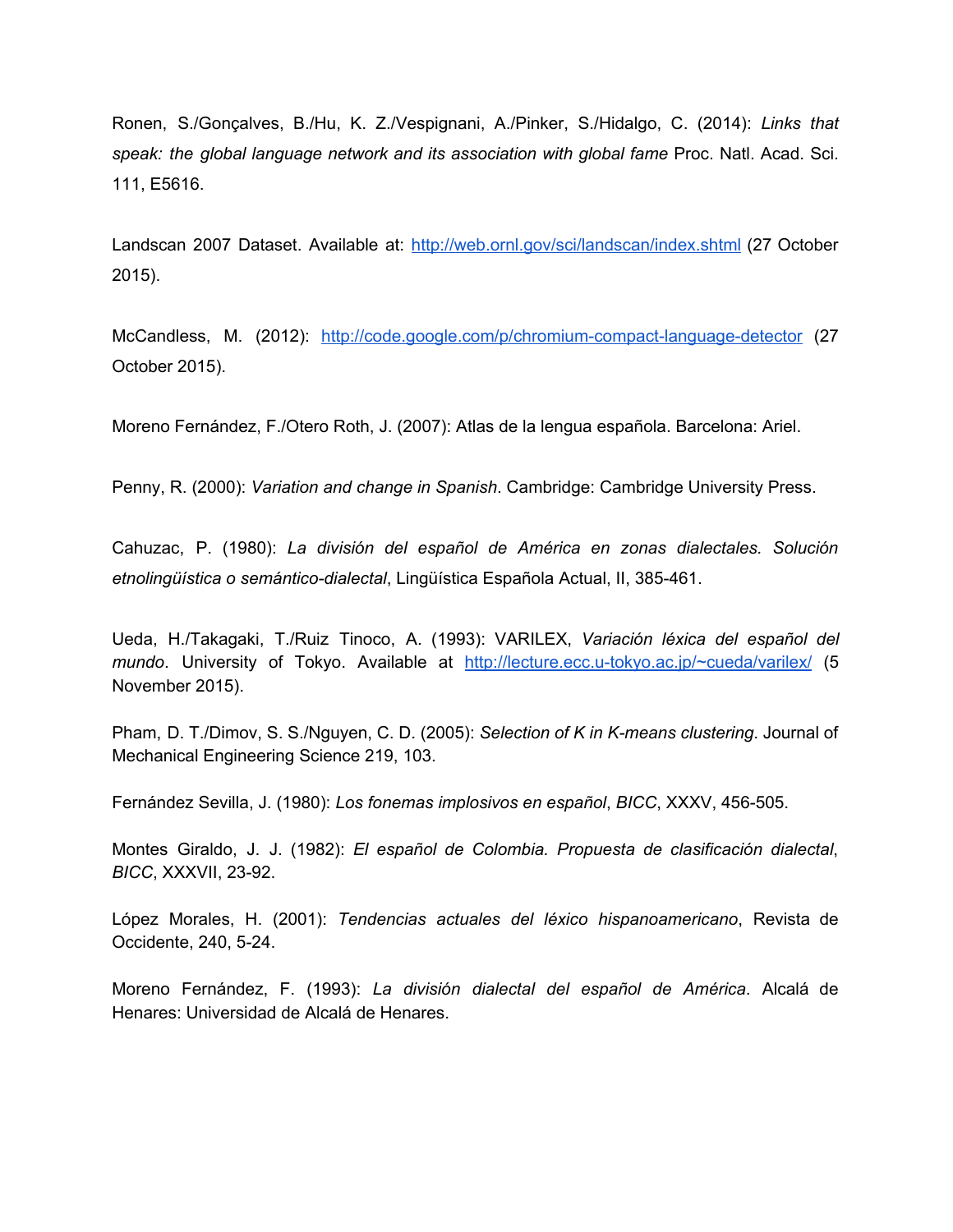Ronen, S./Gonçalves, B./Hu, K. Z./Vespignani, A./Pinker, S./Hidalgo, C. (2014): *Links that speak: the global language network and its association with global fame* Proc. Natl. Acad. Sci. 111, E5616.

Landscan 2007 Dataset. Available at: <http://web.ornl.gov/sci/landscan/index.shtml> (27 October 2015).

McCandless, M. (2012): http://code.google.com/p/chromium-compact-language-detector (27 October 2015).

Moreno Fernández, F./Otero Roth, J. (2007): Atlas de la lengua española. Barcelona: Ariel.

Penny, R. (2000): *Variation and change in Spanish*. Cambridge: Cambridge University Press.

Cahuzac, P. (1980): *La división del español de América en zonas dialectales. Solución etnolingüística o semántico-dialectal, Lingüística Española Actual, II, 385-461.* 

Ueda, H./Takagaki, T./Ruiz Tinoco, A. (1993): VARILEX, *Variación léxica del español del mundo*. University of Tokyo. Available at http://lecture.ecc.u-tokyo.ac.jp/~cueda/varilex/ (5 November 2015).

Pham, D. T./Dimov, S. S./Nguyen, C. D. (2005): *Selection of K in K-means clustering*. Journal of Mechanical Engineering Science 219, 103.

Fernández Sevilla, J. (1980): Los fonemas *implosivos* en español, BICC, XXXV, 456-505.

Montes Giraldo, J. J. (1982): *El español de Colombia. Propuesta de clasificación dialectal*, *BICC*, XXXVII, 23-92.

López Morales, H. (2001): *Tendencias actuales del léxico hispanoamericano*, Revista de Occidente, 240, 5-24.

Moreno Fernández, F. (1993): *La división dialectal del español de América*. Alcalá de Henares: Universidad de Alcalá de Henares.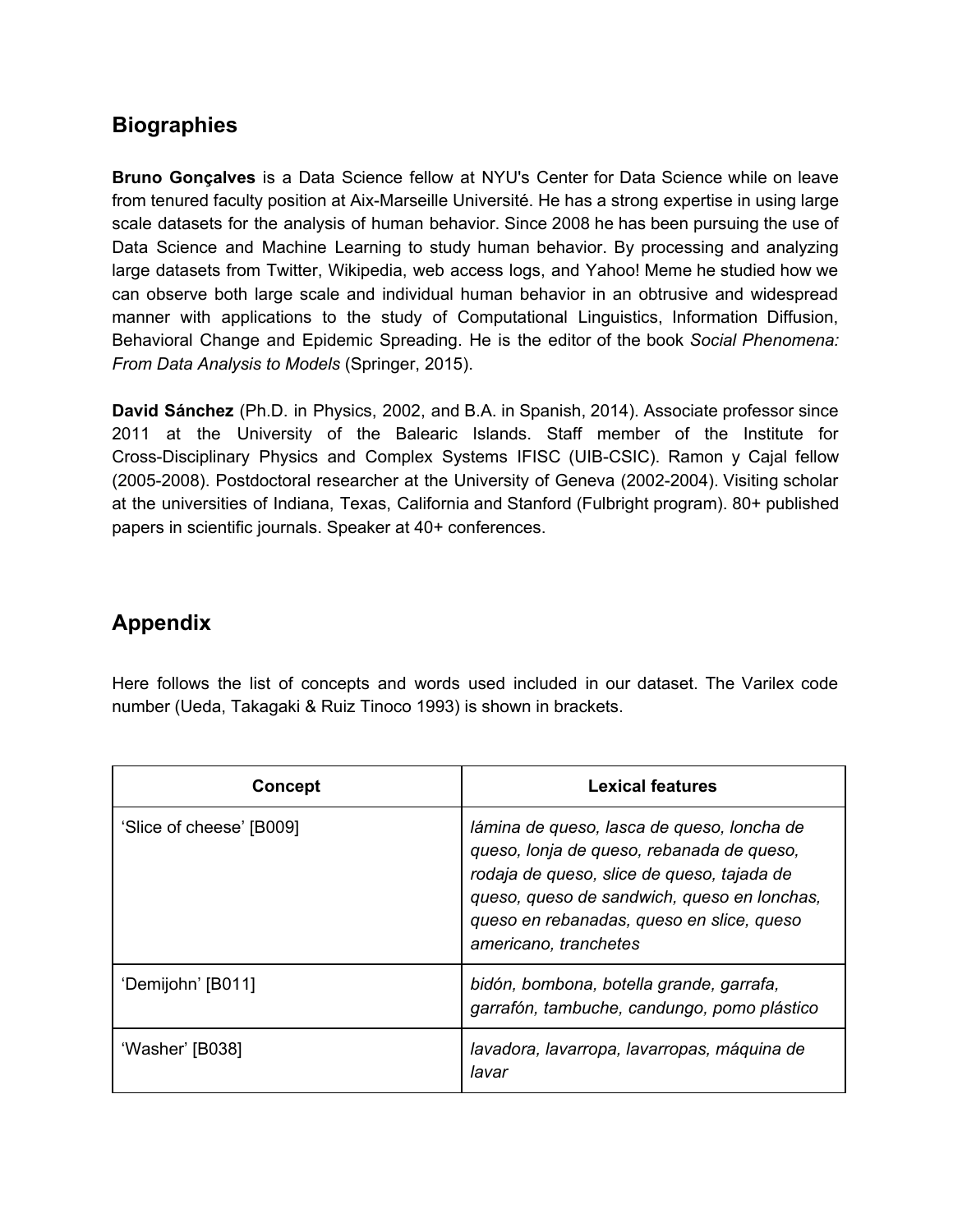# **Biographies**

**Bruno Gonçalves** is a Data Science fellow at NYU's Center for Data Science while on leave from tenured faculty position at Aix-Marseille Université. He has a strong expertise in using large scale datasets for the analysis of human behavior. Since 2008 he has been pursuing the use of Data Science and Machine Learning to study human behavior. By processing and analyzing large datasets from Twitter, Wikipedia, web access logs, and Yahoo! Meme he studied how we can observe both large scale and individual human behavior in an obtrusive and widespread manner with applications to the study of Computational Linguistics, Information Diffusion, Behavioral Change and Epidemic Spreading. He is the editor of the book *Social Phenomena: From Data Analysis to Models* (Springer, 2015).

**David Sánchez** (Ph.D. in Physics, 2002, and B.A. in Spanish, 2014). Associate professor since 2011 at the University of the Balearic Islands. Staff member of the Institute for Cross-Disciplinary Physics and Complex Systems IFISC (UIB-CSIC). Ramon y Cajal fellow (2005-2008). Postdoctoral researcher at the University of Geneva (2002-2004). Visiting scholar at the universities of Indiana, Texas, California and Stanford (Fulbright program). 80+ published papers in scientific journals. Speaker at 40+ conferences.

# **Appendix**

Here follows the list of concepts and words used included in our dataset. The Varilex code number (Ueda, Takagaki & Ruiz Tinoco 1993) is shown in brackets.

| <b>Concept</b>           | Lexical features                                                                                                                                                                                                                                           |
|--------------------------|------------------------------------------------------------------------------------------------------------------------------------------------------------------------------------------------------------------------------------------------------------|
| 'Slice of cheese' [B009] | lámina de queso, lasca de queso, loncha de<br>queso, lonja de queso, rebanada de queso,<br>rodaja de queso, slice de queso, tajada de<br>queso, queso de sandwich, queso en lonchas,<br>queso en rebanadas, queso en slice, queso<br>americano, tranchetes |
| 'Demijohn' [B011]        | bidón, bombona, botella grande, garrafa,<br>garrafón, tambuche, candungo, pomo plástico                                                                                                                                                                    |
| 'Washer' [B038]          | lavadora, lavarropa, lavarropas, máquina de<br>lavar                                                                                                                                                                                                       |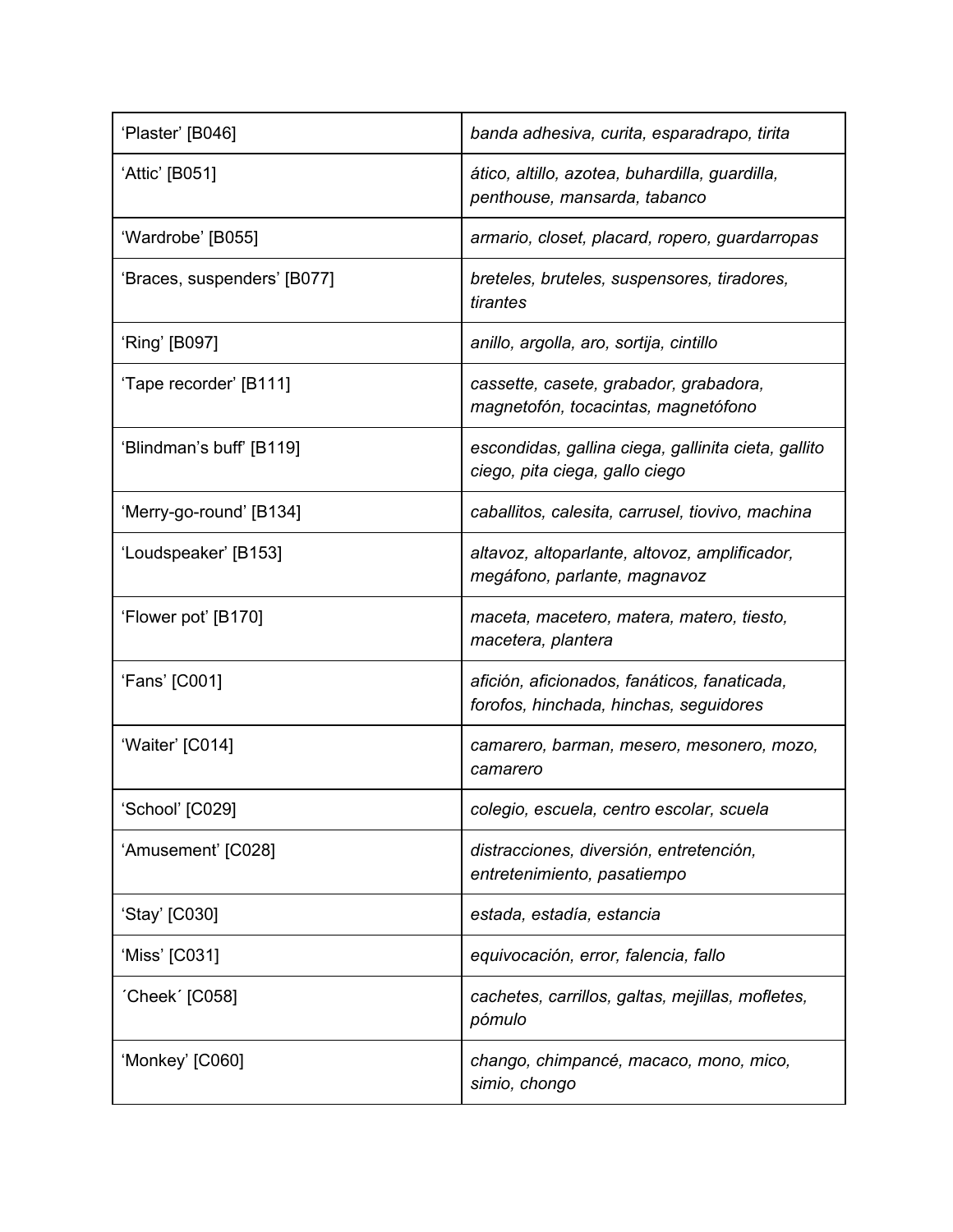| 'Plaster' [B046]            | banda adhesiva, curita, esparadrapo, tirita                                            |
|-----------------------------|----------------------------------------------------------------------------------------|
| 'Attic' [B051]              | ático, altillo, azotea, buhardilla, guardilla,<br>penthouse, mansarda, tabanco         |
| 'Wardrobe' [B055]           | armario, closet, placard, ropero, guardarropas                                         |
| 'Braces, suspenders' [B077] | breteles, bruteles, suspensores, tiradores,<br>tirantes                                |
| 'Ring' [B097]               | anillo, argolla, aro, sortija, cintillo                                                |
| 'Tape recorder' [B111]      | cassette, casete, grabador, grabadora,<br>magnetofón, tocacintas, magnetófono          |
| 'Blindman's buff' [B119]    | escondidas, gallina ciega, gallinita cieta, gallito<br>ciego, pita ciega, gallo ciego  |
| 'Merry-go-round' [B134]     | caballitos, calesita, carrusel, tiovivo, machina                                       |
| 'Loudspeaker' [B153]        | altavoz, altoparlante, altovoz, amplificador,<br>megáfono, parlante, magnavoz          |
| 'Flower pot' [B170]         | maceta, macetero, matera, matero, tiesto,<br>macetera, plantera                        |
| 'Fans' [C001]               | afición, aficionados, fanáticos, fanaticada,<br>forofos, hinchada, hinchas, seguidores |
| 'Waiter' [C014]             | camarero, barman, mesero, mesonero, mozo,<br>camarero                                  |
| 'School' [C029]             | colegio, escuela, centro escolar, scuela                                               |
| 'Amusement' [C028]          | distracciones, diversión, entretención,<br>entretenimiento, pasatiempo                 |
| 'Stay' [C030]               | estada, estadía, estancia                                                              |
| 'Miss' [C031]               | equivocación, error, falencia, fallo                                                   |
| 'Cheek' [C058]              | cachetes, carrillos, galtas, mejillas, mofletes,<br>pómulo                             |
| 'Monkey' [C060]             | chango, chimpancé, macaco, mono, mico,<br>simio, chongo                                |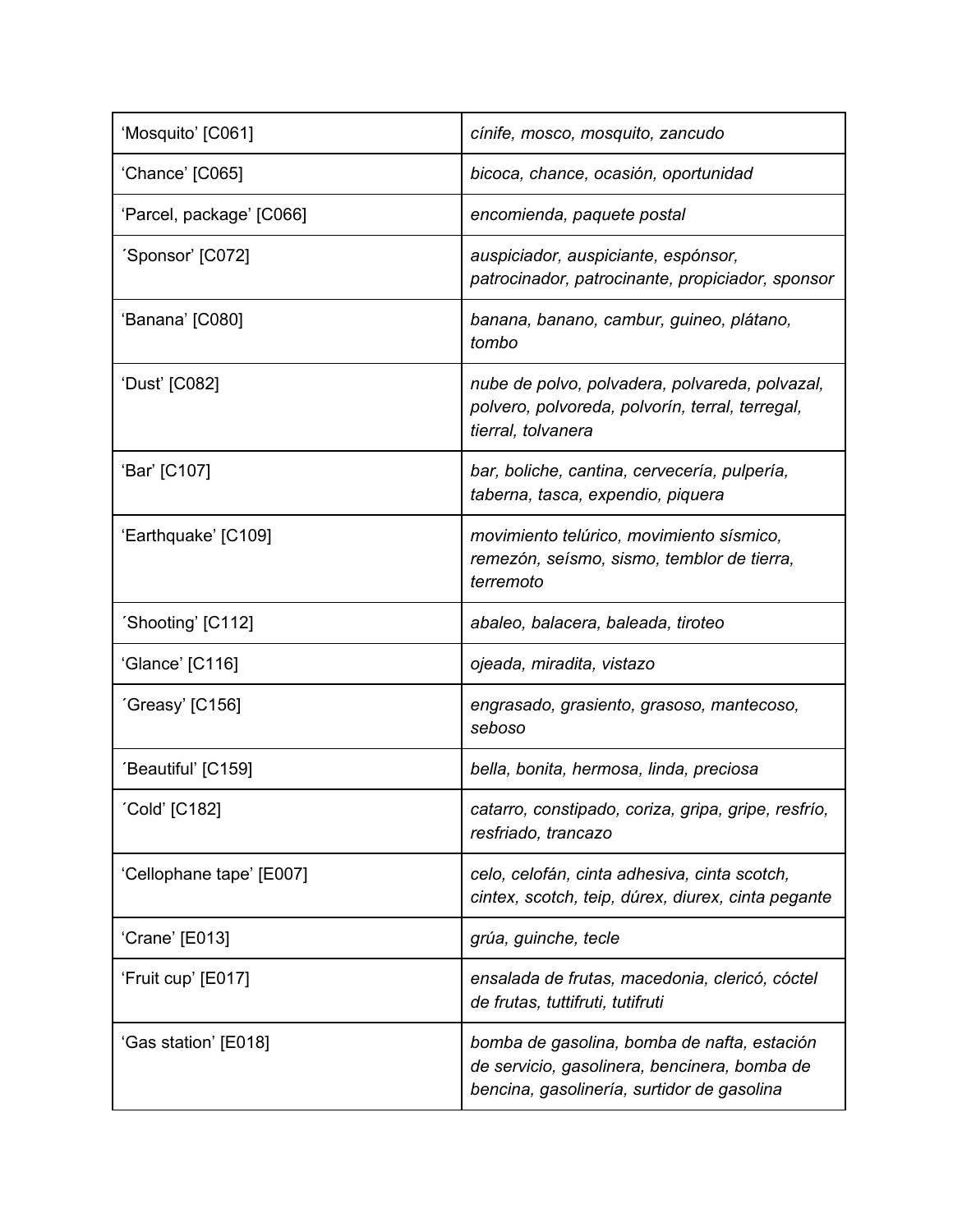| 'Mosquito' [C061]        | cínife, mosco, mosquito, zancudo                                                                                                          |
|--------------------------|-------------------------------------------------------------------------------------------------------------------------------------------|
| 'Chance' [C065]          | bicoca, chance, ocasión, oportunidad                                                                                                      |
| 'Parcel, package' [C066] | encomienda, paquete postal                                                                                                                |
| 'Sponsor' [C072]         | auspiciador, auspiciante, espónsor,<br>patrocinador, patrocinante, propiciador, sponsor                                                   |
| 'Banana' [C080]          | banana, banano, cambur, guineo, plátano,<br>tombo                                                                                         |
| 'Dust' [C082]            | nube de polvo, polvadera, polvareda, polvazal,<br>polvero, polvoreda, polvorín, terral, terregal,<br>tierral, tolvanera                   |
| 'Bar' [C107]             | bar, boliche, cantina, cervecería, pulpería,<br>taberna, tasca, expendio, piquera                                                         |
| 'Earthquake' [C109]      | movimiento telúrico, movimiento sísmico,<br>remezón, seísmo, sismo, temblor de tierra,<br>terremoto                                       |
| 'Shooting' [C112]        | abaleo, balacera, baleada, tiroteo                                                                                                        |
| 'Glance' [C116]          | ojeada, miradita, vistazo                                                                                                                 |
| 'Greasy' [C156]          | engrasado, grasiento, grasoso, mantecoso,<br>seboso                                                                                       |
| 'Beautiful' [C159]       | bella, bonita, hermosa, linda, preciosa                                                                                                   |
| 'Cold' [C182]            | catarro, constipado, coriza, gripa, gripe, resfrío,<br>resfriado, trancazo                                                                |
| 'Cellophane tape' [E007] | celo, celofán, cinta adhesiva, cinta scotch,<br>cintex, scotch, teip, dúrex, diurex, cinta pegante                                        |
| 'Crane' [E013]           | grúa, guinche, tecle                                                                                                                      |
| 'Fruit cup' [E017]       | ensalada de frutas, macedonia, clericó, cóctel<br>de frutas, tuttifruti, tutifruti                                                        |
| 'Gas station' [E018]     | bomba de gasolina, bomba de nafta, estación<br>de servicio, gasolinera, bencinera, bomba de<br>bencina, gasolinería, surtidor de gasolina |